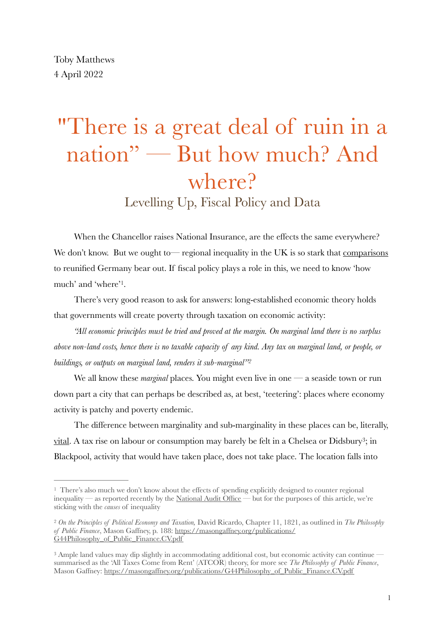# "There is a great deal of ruin in a nation" — But how much? And where? Levelling Up, Fiscal Policy and Data

When the Chancellor raises National Insurance, are the effects the same everywhere? We don't know. But we ought to energional inequality in the UK is so stark that comparisons to reunified Germany bear out. If fiscal policy plays a role in this, we need to know 'how much' and 'where'<sup>[1](#page-0-0)</sup>.

<span id="page-0-3"></span>There's very good reason to ask for answers: long-established economic theory holds that governments will create poverty through taxation on economic activity:

*"All economic principles must be tried and proved at the margin. On marginal land there is no surplus above non-land costs, hence there is no taxable capacity of any kind. Any tax on marginal land, or people, or buildings, or outputs on marginal land, renders it sub-marginal["2](#page-0-1)*

<span id="page-0-4"></span>We all know these *marginal* places. You might even live in one — a seaside town or run down part a city that can perhaps be described as, at best, 'teetering': places where economy activity is patchy and poverty endemic.

<span id="page-0-5"></span>The difference between marginality and sub-marginality in these places can be, literally, [vital](https://www.kingsfund.org.uk/publications/whats-happening-life-expectancy-england). A tax rise on labour or consumption may barely be felt in a Chelsea or Didsbury<sup>3</sup>[;](#page-0-2) in Blackpool, activity that would have taken place, does not take place. The location falls into

<span id="page-0-0"></span> $1$  There's also much we don't know about the effects of spending explicitly designed to counter regional inequality — as reported recently by the [National Audit Office](https://www.nao.org.uk/report/supporting-local-economic-recovery/) — but for the purposes of this article, we're sticking with the *causes* of inequality

<span id="page-0-1"></span>*On the Principles of Political Economy and Taxation,* David Ricardo, Chapter 11, 1821, as outlined in *The Philosophy* [2](#page-0-4) *of Public Finance*, Mason Gaffney, p. 188: [https://masongaffney.org/publications/](https://masongaffney.org/publications/G44Philosophy_of_Public_Finance.CV.pdf) [G44Philosophy\\_of\\_Public\\_Finance.CV.pdf](https://masongaffney.org/publications/G44Philosophy_of_Public_Finance.CV.pdf)

<span id="page-0-2"></span><sup>&</sup>lt;sup>[3](#page-0-5)</sup> Ample land values may dip slightly in accommodating additional cost, but economic activity can continue summarised as the 'All Taxes Come from Rent' (ATCOR) theory, for more see *The Philosophy of Public Finance*, Mason Gaffney: [https://masongaffney.org/publications/G44Philosophy\\_of\\_Public\\_Finance.CV.pdf](https://masongaffney.org/publications/G44Philosophy_of_Public_Finance.CV.pdf)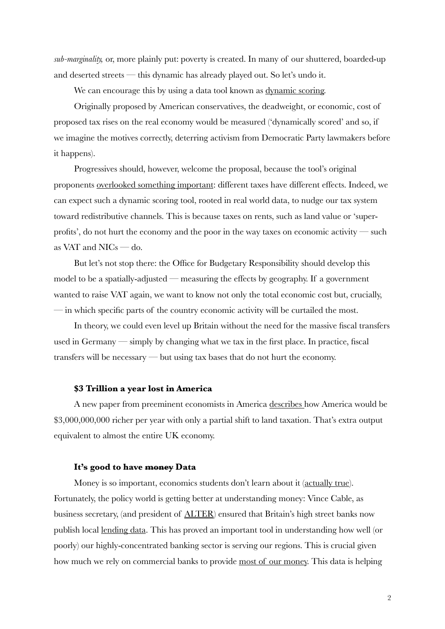*sub-marginality,* or, more plainly put: poverty is created. In many of our shuttered, boarded-up and deserted streets — this dynamic has already played out. So let's undo it.

We can encourage this by using a data tool known as [dynamic scoring.](https://www.forbes.com/sites/timworstall/2015/03/01/the-importance-of-dynamic-scoring-for-the-budget/?sh=50cfe76b3e1f)

Originally proposed by American conservatives, the deadweight, or economic, cost of proposed tax rises on the real economy would be measured ('dynamically scored' and so, if we imagine the motives correctly, deterring activism from Democratic Party lawmakers before it happens).

Progressives should, however, welcome the proposal, because the tool's original proponents [overlooked something important](https://www.forbes.com/sites/timworstall/2015/01/03/why-we-want-dynamic-scoring-of-budgets-it-would-bring-us-a-land-value-tax/?sh=475a117051f9): different taxes have different effects. Indeed, we can expect such a dynamic scoring tool, rooted in real world data, to nudge our tax system toward redistributive channels. This is because taxes on rents, such as land value or 'superprofits', do not hurt the economy and the poor in the way taxes on economic activity — such as VAT and NICs — do.

But let's not stop there: the Office for Budgetary Responsibility should develop this model to be a spatially-adjusted — measuring the effects by geography. If a government wanted to raise VAT again, we want to know not only the total economic cost but, crucially, — in which specific parts of the country economic activity will be curtailed the most.

In theory, we could even level up Britain without the need for the massive fiscal transfers used in Germany — simply by changing what we tax in the first place. In practice, fiscal transfers will be necessary — but using tax bases that do not hurt the economy.

### **\$3 Trillion a year lost in America**

A new paper from preeminent economists in America [describes h](https://t.co/a3X3eJBqy4)ow America would be \$3,000,000,000 richer per year with only a partial shift to land taxation. That's extra output equivalent to almost the entire UK economy.

#### **It's good to have money Data**

Money is so important, economics students don't learn about it [\(actually true](https://www.investopedia.com/terms/n/neutrality_of_money.asp)). Fortunately, the policy world is getting better at understanding money: Vince Cable, as business secretary, (and president of [ALTER\)](https://libdemsalter.org.uk/en/) ensured that Britain's high street banks now publish local [lending data](https://www.ukfinance.org.uk/data-and-research/data/business-finance/sme-lending-within-uk-postcodes). This has proved an important tool in understanding how well (or poorly) our highly-concentrated banking sector is serving our regions. This is crucial given how much we rely on commercial banks to provide [most of our money.](https://www.bankofengland.co.uk/knowledgebank/how-is-money-created) This data is helping